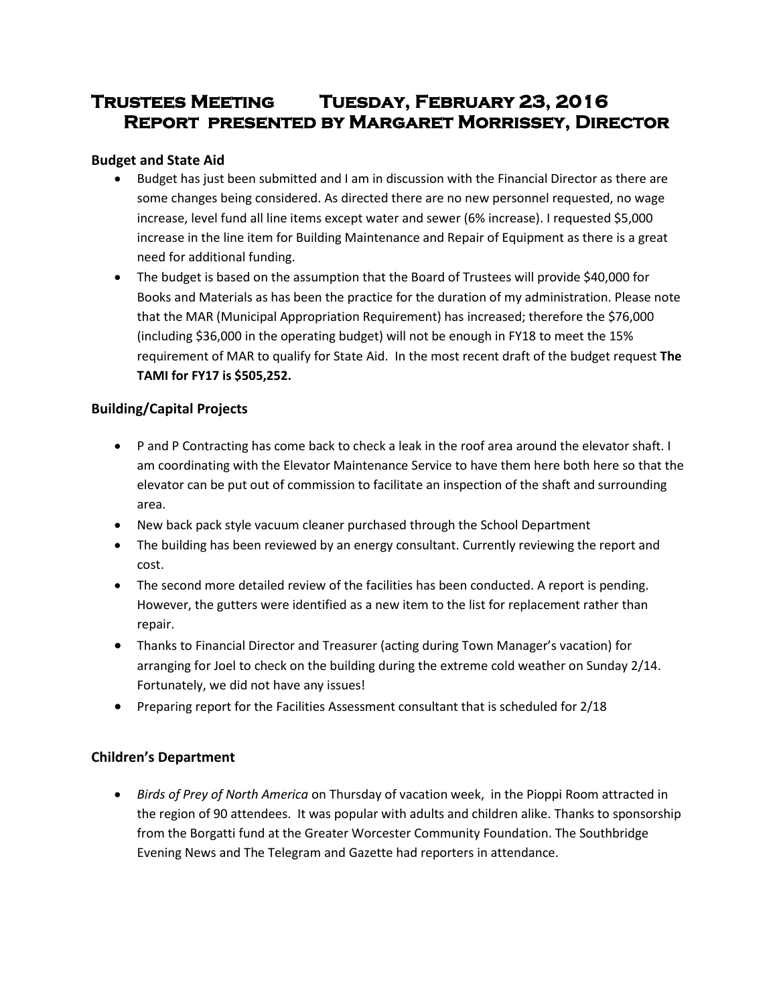# **Trustees Meeting Tuesday, February 23, 2016 Report presented by Margaret Morrissey, Director**

# **Budget and State Aid**

- Budget has just been submitted and I am in discussion with the Financial Director as there are some changes being considered. As directed there are no new personnel requested, no wage increase, level fund all line items except water and sewer (6% increase). I requested \$5,000 increase in the line item for Building Maintenance and Repair of Equipment as there is a great need for additional funding.
- The budget is based on the assumption that the Board of Trustees will provide \$40,000 for Books and Materials as has been the practice for the duration of my administration. Please note that the MAR (Municipal Appropriation Requirement) has increased; therefore the \$76,000 (including \$36,000 in the operating budget) will not be enough in FY18 to meet the 15% requirement of MAR to qualify for State Aid. In the most recent draft of the budget request **The TAMI for FY17 is \$505,252.**

# **Building/Capital Projects**

- P and P Contracting has come back to check a leak in the roof area around the elevator shaft. I am coordinating with the Elevator Maintenance Service to have them here both here so that the elevator can be put out of commission to facilitate an inspection of the shaft and surrounding area.
- New back pack style vacuum cleaner purchased through the School Department
- The building has been reviewed by an energy consultant. Currently reviewing the report and cost.
- The second more detailed review of the facilities has been conducted. A report is pending. However, the gutters were identified as a new item to the list for replacement rather than repair.
- Thanks to Financial Director and Treasurer (acting during Town Manager's vacation) for arranging for Joel to check on the building during the extreme cold weather on Sunday 2/14. Fortunately, we did not have any issues!
- Preparing report for the Facilities Assessment consultant that is scheduled for 2/18

# **Children's Department**

 *Birds of Prey of North America* on Thursday of vacation week, in the Pioppi Room attracted in the region of 90 attendees. It was popular with adults and children alike. Thanks to sponsorship from the Borgatti fund at the Greater Worcester Community Foundation. The Southbridge Evening News and The Telegram and Gazette had reporters in attendance.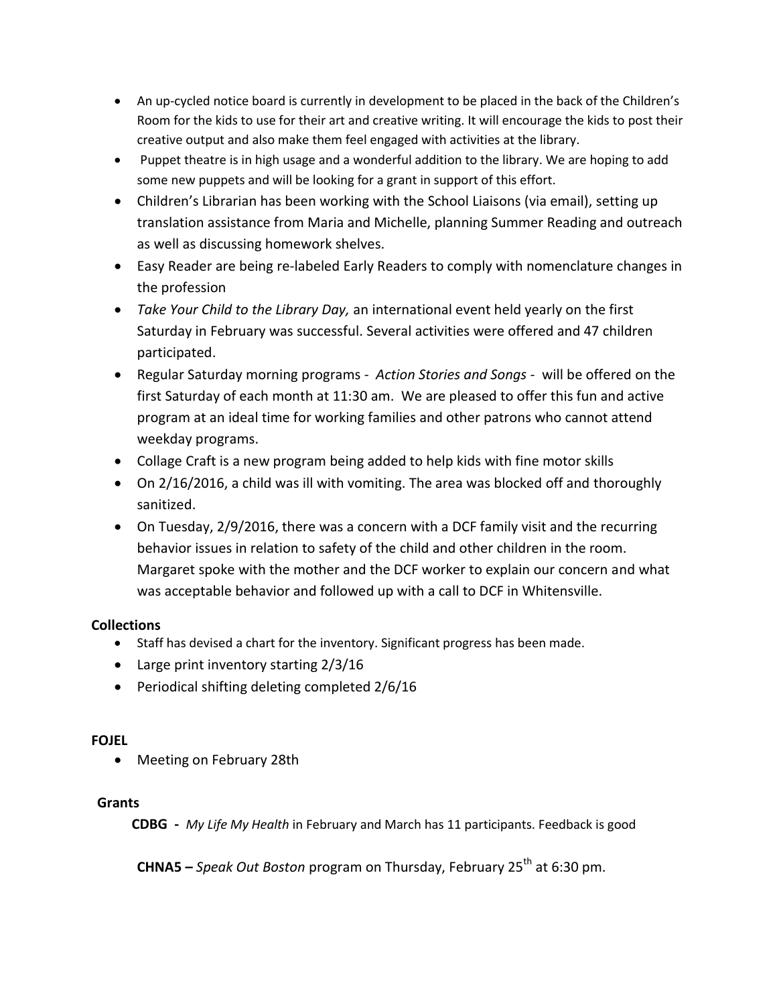- An up-cycled notice board is currently in development to be placed in the back of the Children's Room for the kids to use for their art and creative writing. It will encourage the kids to post their creative output and also make them feel engaged with activities at the library.
- Puppet theatre is in high usage and a wonderful addition to the library. We are hoping to add some new puppets and will be looking for a grant in support of this effort.
- Children's Librarian has been working with the School Liaisons (via email), setting up translation assistance from Maria and Michelle, planning Summer Reading and outreach as well as discussing homework shelves.
- Easy Reader are being re-labeled Early Readers to comply with nomenclature changes in the profession
- *Take Your Child to the Library Day,* an international event held yearly on the first Saturday in February was successful. Several activities were offered and 47 children participated.
- Regular Saturday morning programs *Action Stories and Songs -* will be offered on the first Saturday of each month at 11:30 am. We are pleased to offer this fun and active program at an ideal time for working families and other patrons who cannot attend weekday programs.
- Collage Craft is a new program being added to help kids with fine motor skills
- On 2/16/2016, a child was ill with vomiting. The area was blocked off and thoroughly sanitized.
- On Tuesday, 2/9/2016, there was a concern with a DCF family visit and the recurring behavior issues in relation to safety of the child and other children in the room. Margaret spoke with the mother and the DCF worker to explain our concern and what was acceptable behavior and followed up with a call to DCF in Whitensville.

# **Collections**

- Staff has devised a chart for the inventory. Significant progress has been made.
- Large print inventory starting 2/3/16
- Periodical shifting deleting completed 2/6/16

# **FOJEL**

• Meeting on February 28th

# **Grants**

 **CDBG -** *My Life My Health* in February and March has 11 participants. Feedback is good

**CHNA5 –** *Speak Out Boston program on Thursday, February 25<sup>th</sup> at 6:30 pm.*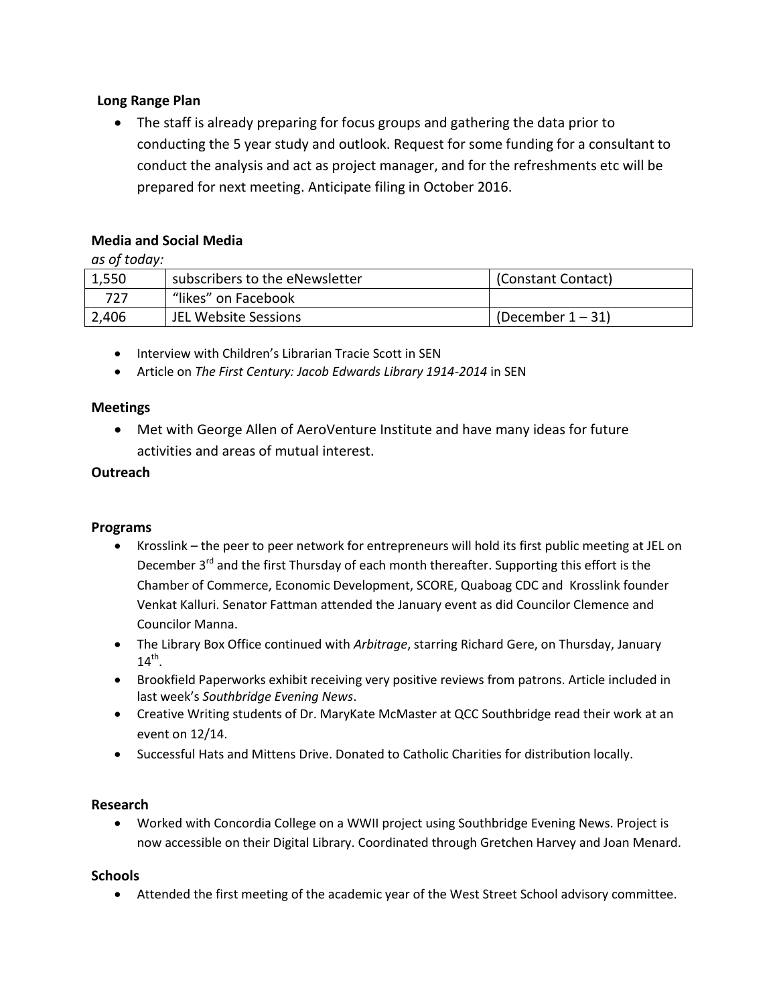# **Long Range Plan**

 The staff is already preparing for focus groups and gathering the data prior to conducting the 5 year study and outlook. Request for some funding for a consultant to conduct the analysis and act as project manager, and for the refreshments etc will be prepared for next meeting. Anticipate filing in October 2016.

# **Media and Social Media**

*as of today:*

| 1,550 | subscribers to the eNewsletter | (Constant Contact)   |
|-------|--------------------------------|----------------------|
| 727   | "likes" on Facebook            |                      |
| 2,406 | JEL Website Sessions           | (December $1 - 31$ ) |

• Interview with Children's Librarian Tracie Scott in SEN

Article on *The First Century: Jacob Edwards Library 1914-2014* in SEN

### **Meetings**

 Met with George Allen of AeroVenture Institute and have many ideas for future activities and areas of mutual interest.

### **Outreach**

#### **Programs**

- Krosslink the peer to peer network for entrepreneurs will hold its first public meeting at JEL on December 3<sup>rd</sup> and the first Thursday of each month thereafter. Supporting this effort is the Chamber of Commerce, Economic Development, SCORE, Quaboag CDC and Krosslink founder Venkat Kalluri. Senator Fattman attended the January event as did Councilor Clemence and Councilor Manna.
- The Library Box Office continued with *Arbitrage*, starring Richard Gere, on Thursday, January  $14^{\text{th}}$ .
- Brookfield Paperworks exhibit receiving very positive reviews from patrons. Article included in last week's *Southbridge Evening News*.
- Creative Writing students of Dr. MaryKate McMaster at QCC Southbridge read their work at an event on 12/14.
- Successful Hats and Mittens Drive. Donated to Catholic Charities for distribution locally.

# **Research**

 Worked with Concordia College on a WWII project using Southbridge Evening News. Project is now accessible on their Digital Library. Coordinated through Gretchen Harvey and Joan Menard.

#### **Schools**

Attended the first meeting of the academic year of the West Street School advisory committee.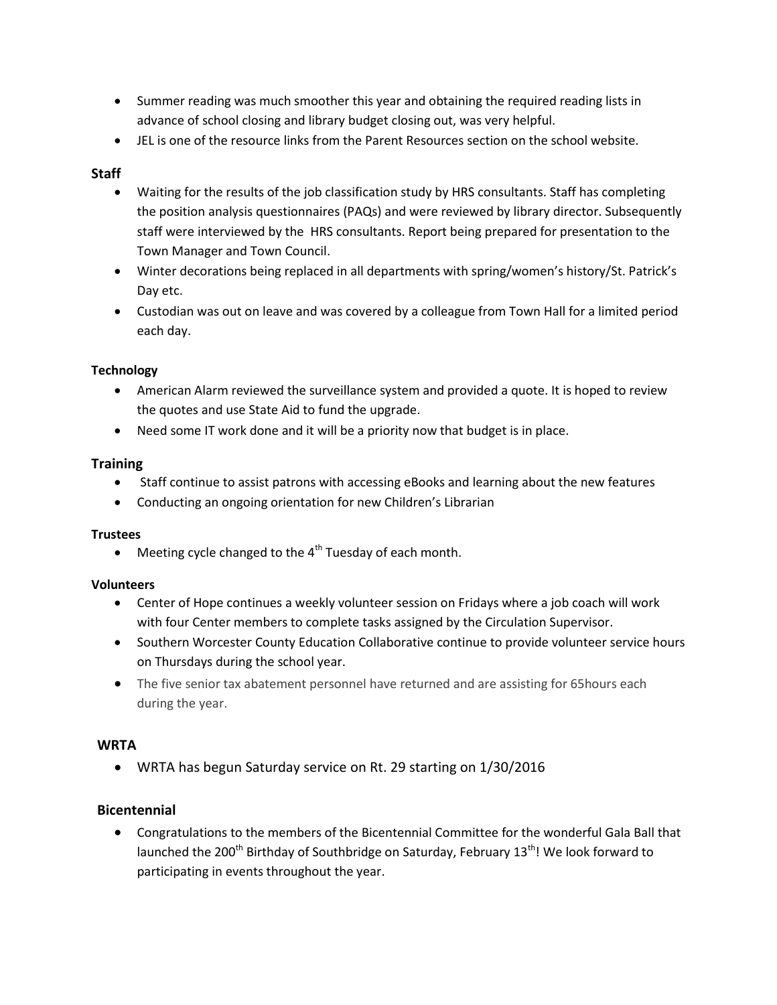- Summer reading was much smoother this year and obtaining the required reading lists in advance of school closing and library budget closing out, was very helpful.
- JEL is one of the resource links from the Parent Resources section on the school website.

# **Staff**

- Waiting for the results of the job classification study by HRS consultants. Staff has completing the position analysis questionnaires (PAQs) and were reviewed by library director. Subsequently staff were interviewed by the HRS consultants. Report being prepared for presentation to the Town Manager and Town Council.
- Winter decorations being replaced in all departments with spring/women's history/St. Patrick's Day etc.
- Custodian was out on leave and was covered by a colleague from Town Hall for a limited period each day.

# **Technology**

- American Alarm reviewed the surveillance system and provided a quote. It is hoped to review the quotes and use State Aid to fund the upgrade.
- Need some IT work done and it will be a priority now that budget is in place.

### **Training**

- Staff continue to assist patrons with accessing eBooks and learning about the new features
- Conducting an ongoing orientation for new Children's Librarian

#### **Trustees**

 $\bullet$  Meeting cycle changed to the 4<sup>th</sup> Tuesday of each month.

# **Volunteers**

- Center of Hope continues a weekly volunteer session on Fridays where a job coach will work with four Center members to complete tasks assigned by the Circulation Supervisor.
- Southern Worcester County Education Collaborative continue to provide volunteer service hours on Thursdays during the school year.
- The five senior tax abatement personnel have returned and are assisting for 65 hours each during the year.

# **WRTA**

WRTA has begun Saturday service on Rt. 29 starting on 1/30/2016

# **Bicentennial**

 Congratulations to the members of the Bicentennial Committee for the wonderful Gala Ball that launched the 200<sup>th</sup> Birthday of Southbridge on Saturday, February 13<sup>th</sup>! We look forward to participating in events throughout the year.